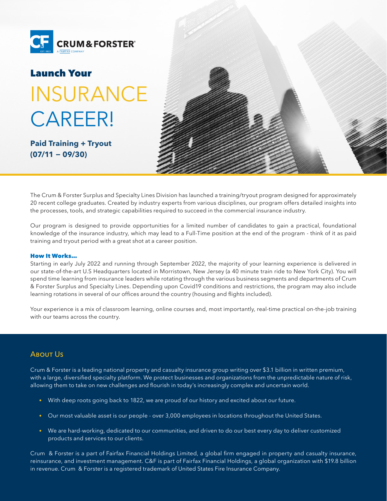

# Launch Your INSURANCE CAREER!

**Paid Training + Tryout (07/11 − 09/30)**



The Crum & Forster Surplus and Specialty Lines Division has launched a training/tryout program designed for approximately 20 recent college graduates. Created by industry experts from various disciplines, our program offers detailed insights into the processes, tools, and strategic capabilities required to succeed in the commercial insurance industry.

Our program is designed to provide opportunities for a limited number of candidates to gain a practical, foundational knowledge of the insurance industry, which may lead to a Full-Time position at the end of the program - think of it as paid training and tryout period with a great shot at a career position.

## How It Works…

Starting in early July 2022 and running through September 2022, the majority of your learning experience is delivered in our state-of-the-art U.S Headquarters located in Morristown, New Jersey (a 40 minute train ride to New York City). You will spend time learning from insurance leaders while rotating through the various business segments and departments of Crum & Forster Surplus and Specialty Lines. Depending upon Covid19 conditions and restrictions, the program may also include learning rotations in several of our offices around the country (housing and flights included).

Your experience is a mix of classroom learning, online courses and, most importantly, real-time practical on-the-job training with our teams across the country.

# **ABOUT US**

Crum & Forster is a leading national property and casualty insurance group writing over \$3.1 billion in written premium, with a large, diversified specialty platform. We protect businesses and organizations from the unpredictable nature of risk, allowing them to take on new challenges and flourish in today's increasingly complex and uncertain world.

- With deep roots going back to 1822, we are proud of our history and excited about our future.
- Our most valuable asset is our people over 3,000 employees in locations throughout the United States.
- We are hard-working, dedicated to our communities, and driven to do our best every day to deliver customized products and services to our clients.

Crum & Forster is a part of Fairfax Financial Holdings Limited, a global firm engaged in property and casualty insurance, reinsurance, and investment management. C&F is part of Fairfax Financial Holdings, a global organization with \$19.8 billion in revenue. Crum & Forster is a registered trademark of United States Fire Insurance Company.